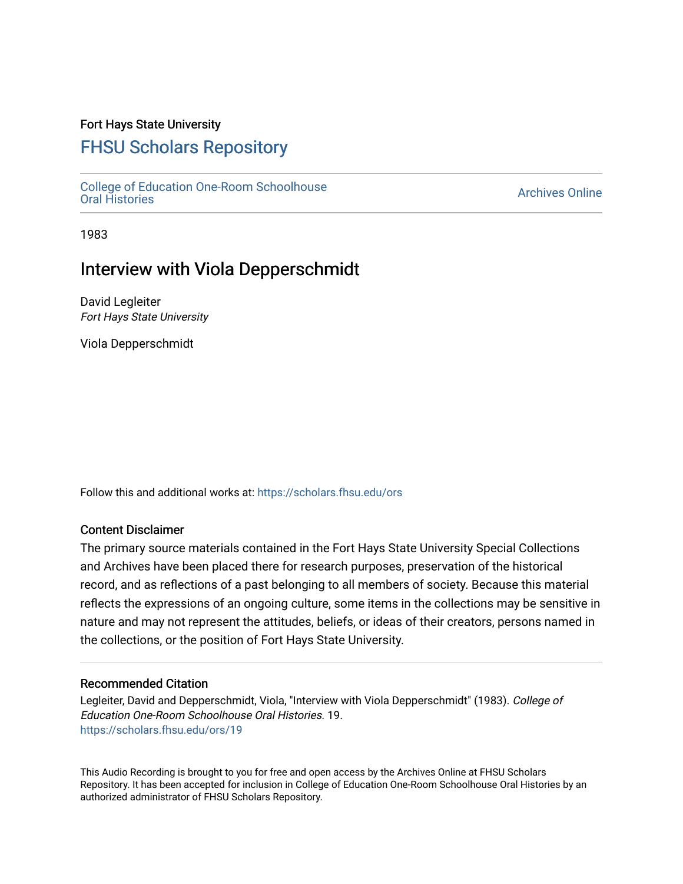### Fort Hays State University

# [FHSU Scholars Repository](https://scholars.fhsu.edu/)

[College of Education One-Room Schoolhouse](https://scholars.fhsu.edu/ors) [Oral Histories](https://scholars.fhsu.edu/ors) [Archives Online](https://scholars.fhsu.edu/archives) 

1983

## Interview with Viola Depperschmidt

David Legleiter Fort Hays State University

Viola Depperschmidt

Follow this and additional works at: [https://scholars.fhsu.edu/ors](https://scholars.fhsu.edu/ors?utm_source=scholars.fhsu.edu%2Fors%2F19&utm_medium=PDF&utm_campaign=PDFCoverPages) 

#### Content Disclaimer

The primary source materials contained in the Fort Hays State University Special Collections and Archives have been placed there for research purposes, preservation of the historical record, and as reflections of a past belonging to all members of society. Because this material reflects the expressions of an ongoing culture, some items in the collections may be sensitive in nature and may not represent the attitudes, beliefs, or ideas of their creators, persons named in the collections, or the position of Fort Hays State University.

#### Recommended Citation

Legleiter, David and Depperschmidt, Viola, "Interview with Viola Depperschmidt" (1983). College of Education One-Room Schoolhouse Oral Histories. 19. [https://scholars.fhsu.edu/ors/19](https://scholars.fhsu.edu/ors/19?utm_source=scholars.fhsu.edu%2Fors%2F19&utm_medium=PDF&utm_campaign=PDFCoverPages)

This Audio Recording is brought to you for free and open access by the Archives Online at FHSU Scholars Repository. It has been accepted for inclusion in College of Education One-Room Schoolhouse Oral Histories by an authorized administrator of FHSU Scholars Repository.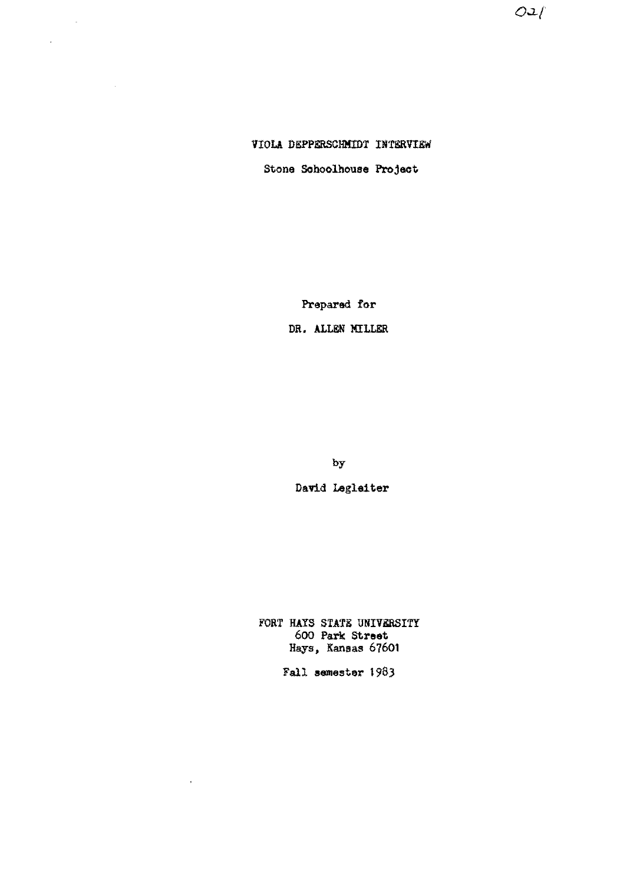$O:1$ 

### VIOLA DEPPERSCHMIDT INTERVIEW

 $\mathcal{A}_\mathbf{r}$ 

 $\bar{\mathcal{A}}$ 

 $\frac{1}{2}$ 

Stone Sohoolhouse Project

Prepared for

DR. ALLEN MILLER

by

David Legleiter

FORT HAYS STATE UNIVERSITY 600 Park **Street**  Hays, Kansas 67601

Fall **semester** 1983

 $\epsilon$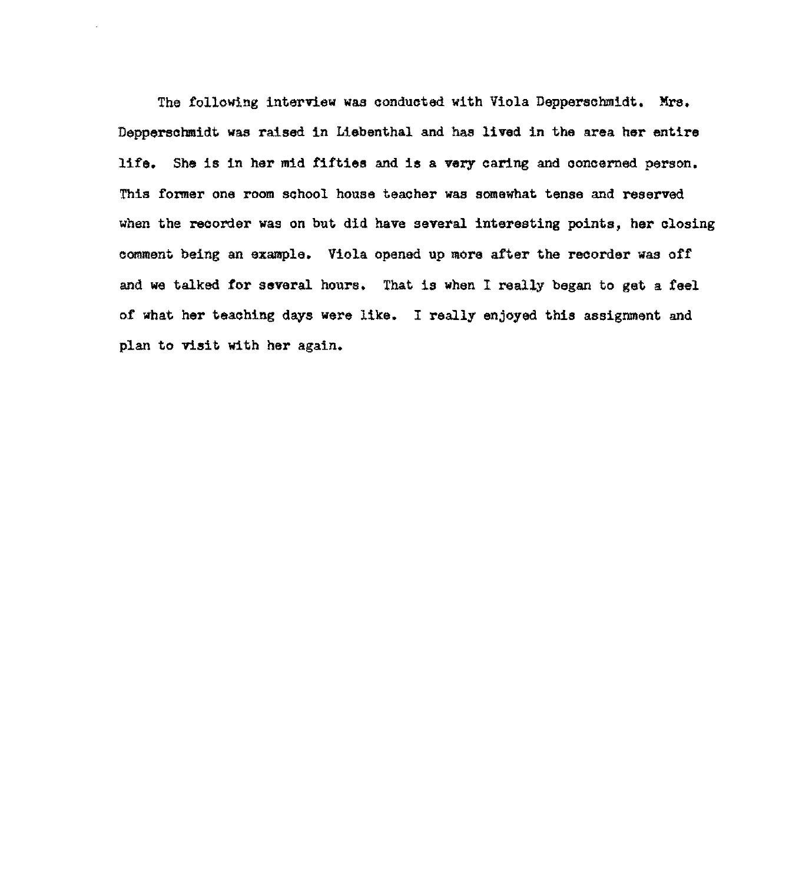The following interview was conducted with Viola Depperschmidt. Mrs. Depperschmidt was raised in Liebenthal and has lived in the area her entire life, She is in her mid fifties and **is** a **very** caring and concerned person, This fonner one room school house teacher was somewhat tense and reserved when the recorder was on but did have several interesting points, her closing comment being an example. Viola opened up more after the recorder was off and we talked for several hours, That is when I really began to get a feel of what her teaching days were like. I really enjoyed this assignment and plan to visit with her again,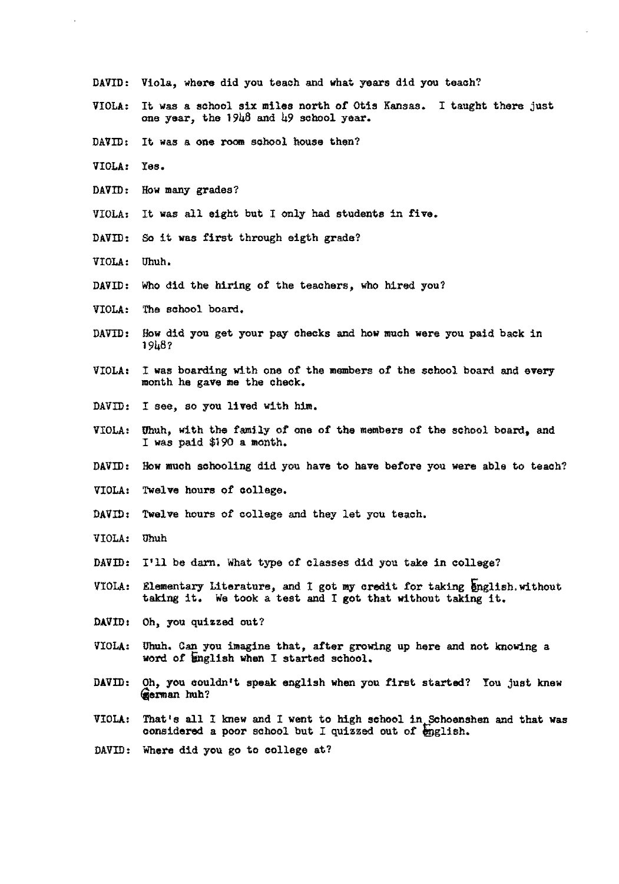- DAVID: Viola, where did you teach and what years did you teach?
- VIOLA: It was a school six miles north of Otis Kansas. I taught there just one year, the  $19\mu\beta$  and  $\mu$ 9 school year.
- DAVID: It was a one room school house then?
- VIOLA: Yes.
- DAVID: How many grades?
- VIOLA: It was all eight but I only had students in five.
- DAVID: So it was first through eigth grade?
- VIOLA: Uhuh,
- DAVID: Who did the hiring of the teachers, who hired you?
- VIOLA: The school board.
- DAVID: How did you get your pay checks and how much were you paid back in 1948?
- VIOLA: I was boarding with one of the members of the school board and every month he gave me the oheok,
- DAVID: I see, so you lived with him.
- VIOLA: Uhuh, with the family of one of the members of the school board, and I was paid \$190 a month.
- DAVID: How much schooling did you have to have before you were able to teach?
- VIOLA: Twelve hours of college,
- DAVID: Twelve hours of college and they let you teach.
- VIOLA: Uhuh
- DAVID: I'll be darn. What type of classes did you take in college?
- VIOLA: Elementary Literature, and I got my credit for taking english.without taking it, We took a test and I got that without taking it,
- DAVID: Oh, you quizzed out?
- VIOLA: Uhuh, Can you imagine that, after growing up here and not knowing a word of English when I started school.
- DAVID: Oh, you couldn't speak english when you first started? You just knew **/ierman** huh?
- VIOLA: That's all I knew and I went to high school in Schoenshen and that was considered a poor school but I quizzed out of english.
- DAVID: Where did you go to college at?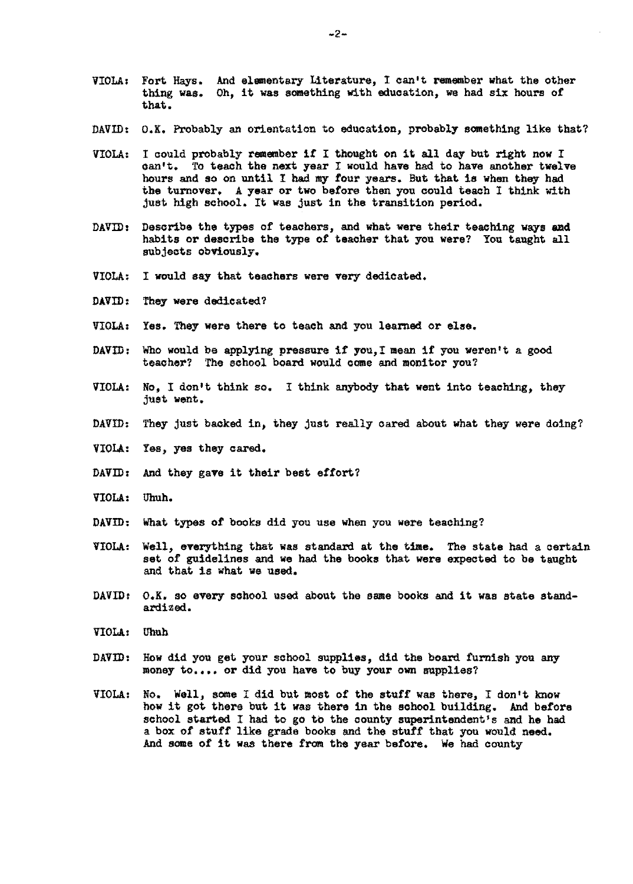- VIOLA: Fort Hays. And elementary Literature, I can't remember what the other thing **was.**  Oh, it was something With education, we had six hours of that.
- DAVID: O,K, Probably an orientation to education, probably something like that?
- VIOLA: I could probably remember it I thought on it all day but right now I can•t. To teach the next year I would have had to have another twelve hours and so on until I had my tour years. But that is when they had the turnover. A year or two before then you could teach I think with just high school, It was just in the transition period.
- $DAVID:$  Describe the types of teachers, and what were their teaching ways and habits or describe the type of teacher that you were? You taught all subjects obViously.
- VIOLA: I would say that teachers were very dedicated.
- DAVID: They were dedicated?
- VIOLA: Yes. They were there to teach and you learned or else.
- DAVID: Who would be applying pressure if you,I mean if you weren't a good teacher? The school board would come and monitor you?
- VIOLA: No, I don't think so. I think anybody that went into teaching, they just went.
- DAVID: They just backed in, they just really cared about what they were doing?
- VIOLA: Yes, yes they cared.
- DAVID: And they gave it their best effort?
- VIOLA: Uhuh.
- DAVID: What types of books did you use when you were teaching?
- VIOLA: Well, everything that was standard at the time. The state had a certain set of guidelines and **we** had the books that were expected to be taught and that is what we used.
- DAVID: O.K. so every school used about the same books and it was state standardized.
- VIOLA: Uhub
- DAVID: How did you get your sohool supplies, did the board furnish you any money to.... or did you have to buy your own supplies?
- VIOLA: No. Well, some I did but most of the stuff was there, I don't know how it got there but it was there in the sobool building. And before school started I had to go to the county superintendent's and he had a box of stuff like grade books and the stuff that you would **need.**  And some of it was there from the year before. We had county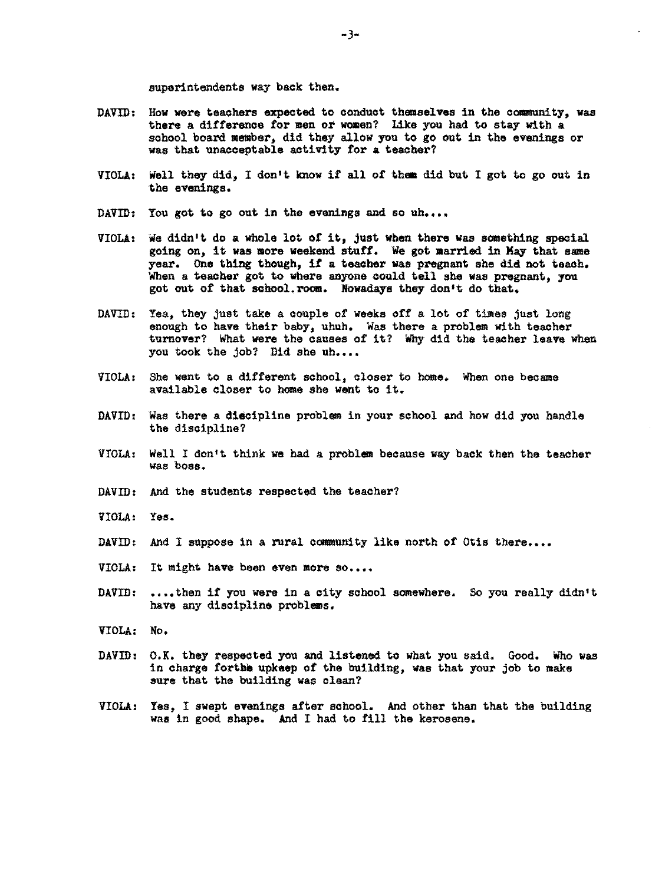superintendents way back then.

- DAVID: How were teachers expected to conduct themselves in the community, was there a difference for men or women? Like you had to stay with a school board member, did they allow you to go out in the evenings or was that unacceptable activity for **a** teacher?
- VIOLA: Well they did, I don't know if all of them did but I got to go out in the evenings.
- DAVID: You got to go out in the evenings and so  $uh...$
- VIOLA1 We didn't do a whole lot of it, just when there was something special going on, it was more weekend stuff. We got married in May that same year. One thing though, if a teacher was pregnant she did not teach. When a teacher got to where anyone could tell she was pregnant, you got out of that school.room. Nowadays they don•t do that.
- DAVID: Yea, they just take a couple of weeks off a lot of times just long enough to have their baby, uhuh. Was there a problem with teacher turnover? What were the causes of it? Why did the teacher leave when you took the job? Did she uh....
- VIOLA: She went to a different school, closer to home. When one became available closer to home she went to it.
- DAVID: Was there a discipline problem in your school and how did you handle the discipline?
- VIOLA: Well I don1t think we had a problem because way back then the teacher was boss.
- DAVID: And the students respected the teacher?
- VIOLA: Yes.
- DAVID: And I suppose in a rural community like north of Otis there....
- VIOLA: It might have been even more so....
- DAVID: ....then if you were in a city school somewhere. So you really didn't have any discipline problems.
- VIOLA: No,
- DAVID: O.K. they respected you and listened to what you said. Good. Who **was**  in charge forthe upkeep of the building, was that your job to make sure that the building was clean?
- VIOLA: Yes, I swept evenings after school. And other than that the building was in good shape. And I had to fill the kerosene.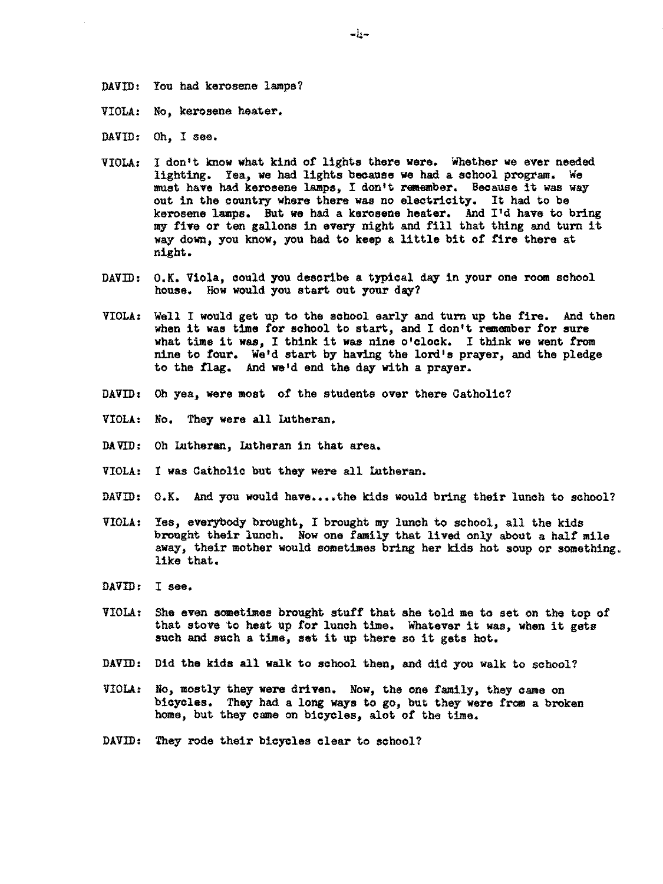DAVID: You had kerosene lamps?

- VIOLA: No, kerosene heater,
- DAVID: Oh, I see.
- VIOLA: I don't know what kind *at* lights there were. Whether we ever needed lighting. Yea, we had lights because **we** had a school program. We must have had kerosene lamps, I don•t remember. Because it was way out in the country where there was no electricity. It had to be kerosene lamps. But we had a kerosene heater. And I'd have to bring my five or ten gallons in every night and fill that thing and turn it way down, you know, you had to **keep** a little bit of fire there at night.
- DAVID: O.K. Viola, could you describe a typical day in your one room school house. How would you start out your day?
- VIOLA: Well I would get up to the school early and turn up the fire. And then when it was time for school to start, and I don't remember for sure what time it **was,** I think it was nine o'clock, I think we went from nine to four, We'd start by having the lord's prayer, and the pledge to the flag. And we'd end the day with a prayer.
- DAVID: Oh yea, **were** most *ot* the students over there Catholic?
- VIOLA: No, They were all Lutheran,
- DAVID: Oh Lutheran, Lutheran in that area,
- VIOLA: I was Catholic but they were all Intheran.
- DAVID: O,K. And you would have,,,.the kids would bring their lunch to school?
- VIOLA: Yes, everybody brought, I brought my lunch to school, all the kids brought their lunch. Now one family that lived only about a half mile away, their mother would sometimes bring her kids hot soup or something. like that,
- DAVID: I see,
- VIOLA: She even sometimes brought stutt that she told me to set on the top *ot*  that stove to heat up tor lunch time. Whatever it was, **when** it gets such and such a time, set it up there so it gets hot.
- DAVID: Did the kids all walk to school then, and did you walk to school?
- VIOLA: No, mostly they **were** driven. Now, the one family, they came on bicycles. They had a long ways to go, but they were from a broken home, but they came on bicycles, alot of the time,
- DAVID: They rode their bicycles clear to school?